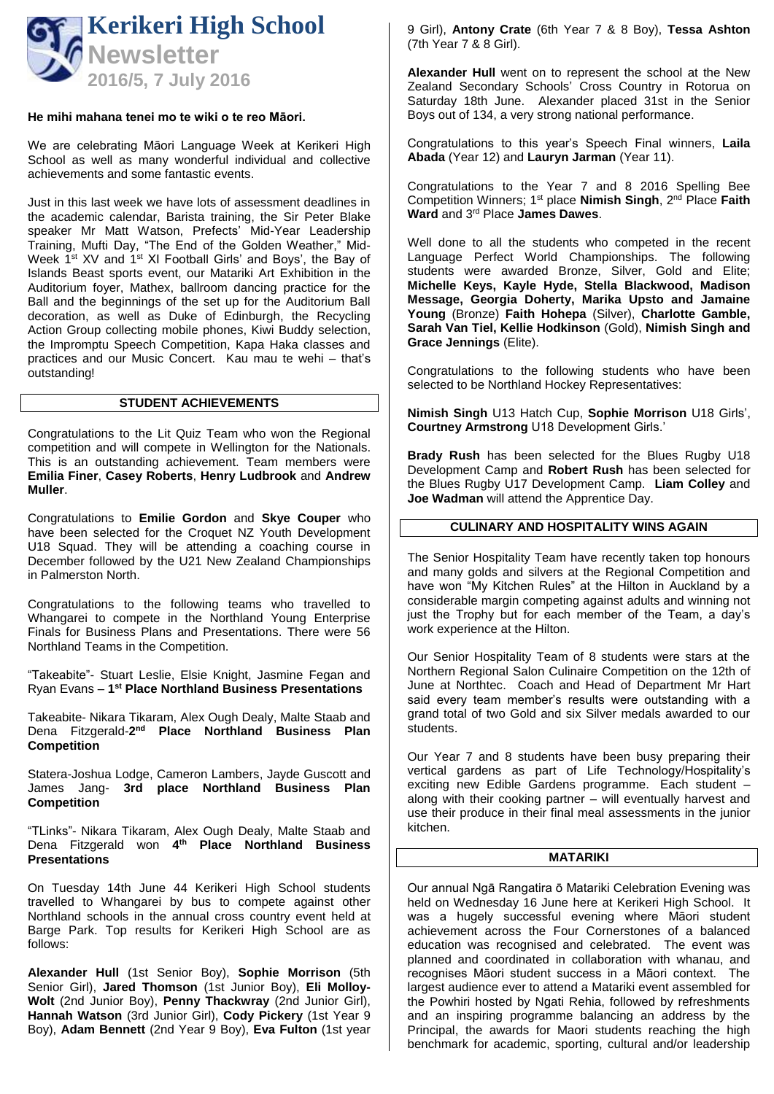

### **He mihi mahana tenei mo te wiki o te reo Māori.**

We are celebrating Māori Language Week at Kerikeri High School as well as many wonderful individual and collective achievements and some fantastic events.

Just in this last week we have lots of assessment deadlines in the academic calendar, Barista training, the Sir Peter Blake speaker Mr Matt Watson, Prefects' Mid-Year Leadership Training, Mufti Day, "The End of the Golden Weather," Mid-Week 1<sup>st</sup> XV and 1<sup>st</sup> XI Football Girls' and Boys', the Bay of Islands Beast sports event, our Matariki Art Exhibition in the Auditorium foyer, Mathex, ballroom dancing practice for the Ball and the beginnings of the set up for the Auditorium Ball decoration, as well as Duke of Edinburgh, the Recycling Action Group collecting mobile phones, Kiwi Buddy selection, the Impromptu Speech Competition, Kapa Haka classes and practices and our Music Concert. Kau mau te wehi – that's outstanding!

### **STUDENT ACHIEVEMENTS**

Congratulations to the Lit Quiz Team who won the Regional competition and will compete in Wellington for the Nationals. This is an outstanding achievement. Team members were **Emilia Finer**, **Casey Roberts**, **Henry Ludbrook** and **Andrew Muller**.

Congratulations to **Emilie Gordon** and **Skye Couper** who have been selected for the Croquet NZ Youth Development U18 Squad. They will be attending a coaching course in December followed by the U21 New Zealand Championships in Palmerston North.

Congratulations to the following teams who travelled to Whangarei to compete in the Northland Young Enterprise Finals for Business Plans and Presentations. There were 56 Northland Teams in the Competition.

"Takeabite"- Stuart Leslie, Elsie Knight, Jasmine Fegan and Ryan Evans – **1 st Place Northland Business Presentations**

Takeabite- Nikara Tikaram, Alex Ough Dealy, Malte Staab and Dena Fitzgerald-**2 nd Place Northland Business Plan Competition**

Statera-Joshua Lodge, Cameron Lambers, Jayde Guscott and James Jang- **3rd place Northland Business Plan Competition**

"TLinks"- Nikara Tikaram, Alex Ough Dealy, Malte Staab and Dena Fitzgerald won **4 th Place Northland Business Presentations**

On Tuesday 14th June 44 Kerikeri High School students travelled to Whangarei by bus to compete against other Northland schools in the annual cross country event held at Barge Park. Top results for Kerikeri High School are as follows:

**Alexander Hull** (1st Senior Boy), **Sophie Morrison** (5th Senior Girl), **Jared Thomson** (1st Junior Boy), **Eli Molloy-Wolt** (2nd Junior Boy), **Penny Thackwray** (2nd Junior Girl), **Hannah Watson** (3rd Junior Girl), **Cody Pickery** (1st Year 9 Boy), **Adam Bennett** (2nd Year 9 Boy), **Eva Fulton** (1st year 9 Girl), **Antony Crate** (6th Year 7 & 8 Boy), **Tessa Ashton** (7th Year 7 & 8 Girl).

**Alexander Hull** went on to represent the school at the New Zealand Secondary Schools' Cross Country in Rotorua on Saturday 18th June. Alexander placed 31st in the Senior Boys out of 134, a very strong national performance.

Congratulations to this year's Speech Final winners, **Laila Abada** (Year 12) and **Lauryn Jarman** (Year 11).

Congratulations to the Year 7 and 8 2016 Spelling Bee Competition Winners; 1st place **Nimish Singh**, 2nd Place **Faith Ward** and 3rd Place **James Dawes**.

Well done to all the students who competed in the recent Language Perfect World Championships. The following students were awarded Bronze, Silver, Gold and Elite; **Michelle Keys, Kayle Hyde, Stella Blackwood, Madison Message, Georgia Doherty, Marika Upsto and Jamaine Young** (Bronze) **Faith Hohepa** (Silver), **Charlotte Gamble, Sarah Van Tiel, Kellie Hodkinson** (Gold), **Nimish Singh and Grace Jennings** (Elite).

Congratulations to the following students who have been selected to be Northland Hockey Representatives:

**Nimish Singh** U13 Hatch Cup, **Sophie Morrison** U18 Girls', **Courtney Armstrong** U18 Development Girls.'

**Brady Rush** has been selected for the Blues Rugby U18 Development Camp and **Robert Rush** has been selected for the Blues Rugby U17 Development Camp. **Liam Colley** and **Joe Wadman** will attend the Apprentice Day.

## **CULINARY AND HOSPITALITY WINS AGAIN**

The Senior Hospitality Team have recently taken top honours and many golds and silvers at the Regional Competition and have won "My Kitchen Rules" at the Hilton in Auckland by a considerable margin competing against adults and winning not just the Trophy but for each member of the Team, a day's work experience at the Hilton.

Our Senior Hospitality Team of 8 students were stars at the Northern Regional Salon Culinaire Competition on the 12th of June at Northtec. Coach and Head of Department Mr Hart said every team member's results were outstanding with a grand total of two Gold and six Silver medals awarded to our students.

Our Year 7 and 8 students have been busy preparing their vertical gardens as part of Life Technology/Hospitality's exciting new Edible Gardens programme. Each student – along with their cooking partner – will eventually harvest and use their produce in their final meal assessments in the junior kitchen.

#### **MATARIKI**

Our annual Ngā Rangatira ō Matariki Celebration Evening was held on Wednesday 16 June here at Kerikeri High School. It was a hugely successful evening where Māori student achievement across the Four Cornerstones of a balanced education was recognised and celebrated. The event was planned and coordinated in collaboration with whanau, and recognises Māori student success in a Māori context. The largest audience ever to attend a Matariki event assembled for the Powhiri hosted by Ngati Rehia, followed by refreshments and an inspiring programme balancing an address by the Principal, the awards for Maori students reaching the high benchmark for academic, sporting, cultural and/or leadership